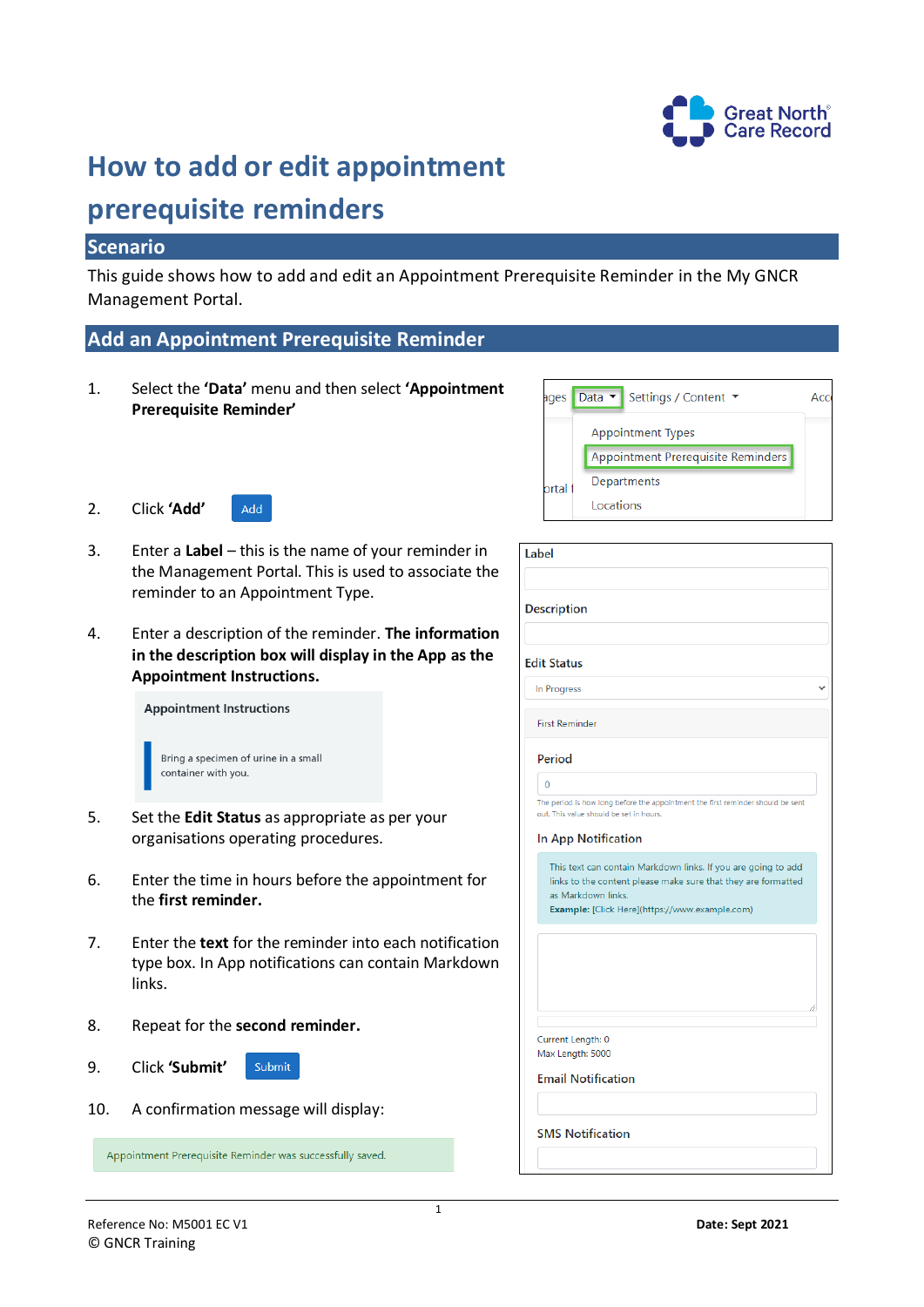

# **How to add or edit appointment**

## **prerequisite reminders**

## **Scenario**

This guide shows how to add and edit an Appointment Prerequisite Reminder in the My GNCR Management Portal.

## **Add an Appointment Prerequisite Reminder**

- 1. Select the **'Data'** menu and then select **'Appointment Prerequisite Reminder'**
- 2. Click **'Add'**



- 3. Enter a **Label** this is the name of your reminder in the Management Portal. This is used to associate the reminder to an Appointment Type.
- 4. Enter a description of the reminder. **The information in the description box will display in the App as the Appointment Instructions.**

**Appointment Instructions** 

| Bring a specimen of urine in a small |
|--------------------------------------|
| container with you.                  |
|                                      |

- 5. Set the **Edit Status** as appropriate as per your organisations operating procedures.
- 6. Enter the time in hours before the appointment for the **first reminder.**
- 7. Enter the **text** for the reminder into each notification type box. In App notifications can contain Markdown links.
- 8. Repeat for the **second reminder.**
- 9. Click **'Submit'**  Submit
- 10. A confirmation message will display:

Appointment Prerequisite Reminder was successfully saved.



| <b>Description</b>         |                                                                                                                                |
|----------------------------|--------------------------------------------------------------------------------------------------------------------------------|
|                            |                                                                                                                                |
| <b>Edit Status</b>         |                                                                                                                                |
| In Progress                |                                                                                                                                |
| <b>First Reminder</b>      |                                                                                                                                |
| Period                     |                                                                                                                                |
| $\overline{0}$             |                                                                                                                                |
|                            | The period is how long before the appointment the first reminder should be sent<br>out. This value should be set in hours.     |
|                            |                                                                                                                                |
|                            |                                                                                                                                |
|                            |                                                                                                                                |
| <b>In App Notification</b> |                                                                                                                                |
|                            | This text can contain Markdown links. If you are going to add<br>links to the content please make sure that they are formatted |
| as Markdown links.         |                                                                                                                                |
|                            | Example: [Click Here](https://www.example.com)                                                                                 |
|                            |                                                                                                                                |
|                            |                                                                                                                                |
|                            |                                                                                                                                |
|                            |                                                                                                                                |
|                            |                                                                                                                                |
|                            |                                                                                                                                |
|                            |                                                                                                                                |
| Current Length: 0          |                                                                                                                                |
|                            |                                                                                                                                |
| Max Length: 5000           |                                                                                                                                |
| <b>Email Notification</b>  |                                                                                                                                |
|                            |                                                                                                                                |
|                            |                                                                                                                                |